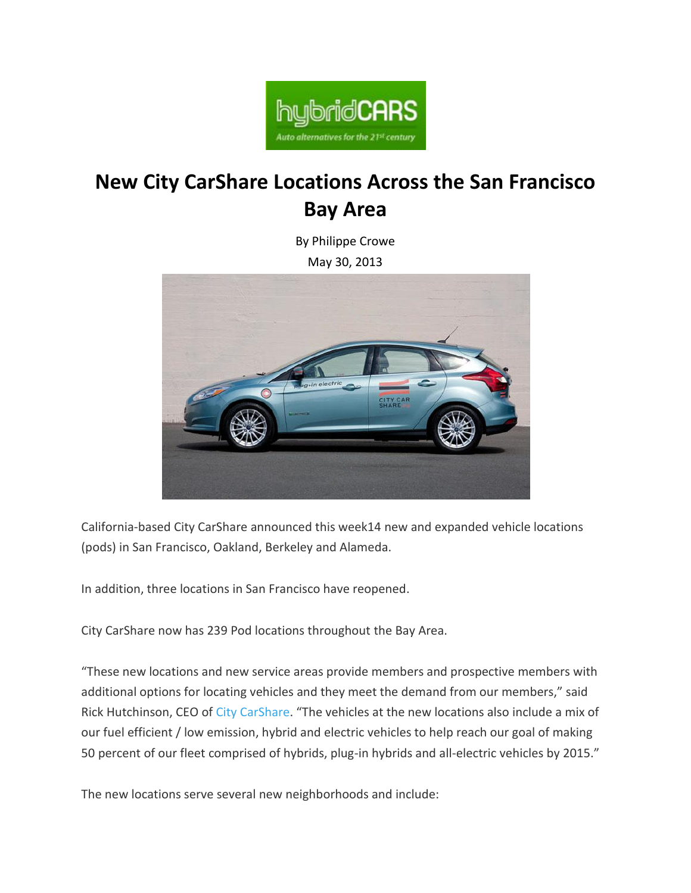

#### **New City CarShare Locations Across the San Francisco Bay Area**

By [Philippe Crowe](http://www.hybridcars.com/author/philippe-crowe/)

May 30, 2013



California-based City CarShare announced this week14 new and expanded vehicle locations (pods) in San Francisco, Oakland, Berkeley and Alameda.

In addition, three locations in San Francisco have reopened.

City CarShare now has 239 Pod locations throughout the Bay Area.

"These new locations and new service areas provide members and prospective members with additional options for locating vehicles and they meet the demand from our members," said Rick Hutchinson, CEO of [City CarShare](https://www.citycarshare.org/). "The vehicles at the new locations also include a mix of our fuel efficient / low emission, hybrid and electric vehicles to help reach our goal of making 50 percent of our fleet comprised of hybrids, plug-in hybrids and all-electric vehicles by 2015."

The new locations serve several new neighborhoods and include: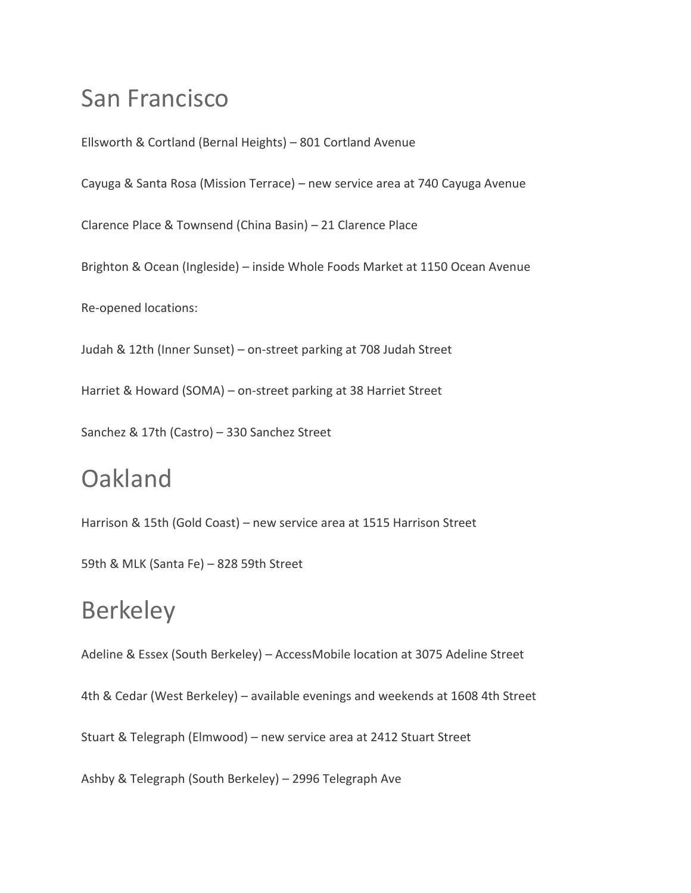## San Francisco

Ellsworth & Cortland (Bernal Heights) – 801 Cortland Avenue Cayuga & Santa Rosa (Mission Terrace) – new service area at 740 Cayuga Avenue Clarence Place & Townsend (China Basin) – 21 Clarence Place Brighton & Ocean (Ingleside) – inside Whole Foods Market at 1150 Ocean Avenue Re-opened locations: Judah & 12th (Inner Sunset) – on-street parking at 708 Judah Street

Harriet & Howard (SOMA) – on-street parking at 38 Harriet Street

Sanchez & 17th (Castro) – 330 Sanchez Street

## **Oakland**

Harrison & 15th (Gold Coast) – new service area at 1515 Harrison Street

59th & MLK (Santa Fe) – 828 59th Street

#### **Berkeley**

Adeline & Essex (South Berkeley) – AccessMobile location at 3075 Adeline Street

4th & Cedar (West Berkeley) – available evenings and weekends at 1608 4th Street

Stuart & Telegraph (Elmwood) – new service area at 2412 Stuart Street

Ashby & Telegraph (South Berkeley) – 2996 Telegraph Ave